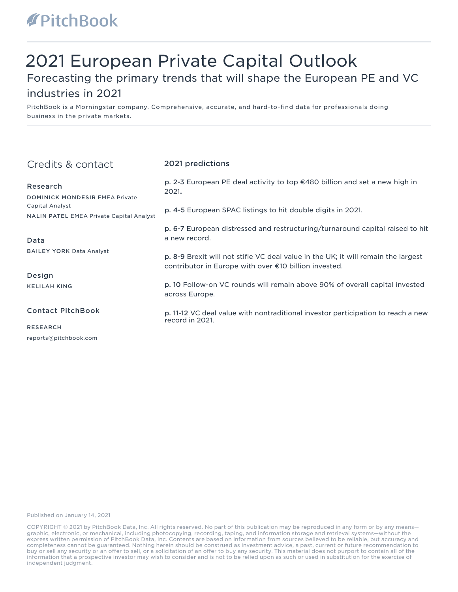# **APitchBook**

# 2021 European Private Capital Outlook

### Forecasting the primary trends that will shape the European PE and VC

### industries in 2021

PitchBook is a Morningstar company. Comprehensive, accurate, and hard-to-find data for professionals doing business in the private markets.

| Credits & contact                                                         | 2021 predictions                                                                                                                           |
|---------------------------------------------------------------------------|--------------------------------------------------------------------------------------------------------------------------------------------|
| Research<br><b>DOMINICK MONDESIR EMEA Private</b>                         | p. 2-3 European PE deal activity to top €480 billion and set a new high in<br>2021.                                                        |
| <b>Capital Analyst</b><br><b>NALIN PATEL EMEA Private Capital Analyst</b> | p. 4-5 European SPAC listings to hit double digits in 2021.                                                                                |
| Data                                                                      | p. 6-7 European distressed and restructuring/turnaround capital raised to hit<br>a new record.                                             |
| <b>BAILEY YORK Data Analyst</b>                                           | p. 8-9 Brexit will not stifle VC deal value in the UK; it will remain the largest<br>contributor in Europe with over €10 billion invested. |
| Design                                                                    |                                                                                                                                            |
| <b>KELILAH KING</b>                                                       | p. 10 Follow-on VC rounds will remain above 90% of overall capital invested<br>across Europe.                                              |
| <b>Contact PitchBook</b>                                                  | p. 11-12 VC deal value with nontraditional investor participation to reach a new<br>record in 2021.                                        |
| <b>RESEARCH</b>                                                           |                                                                                                                                            |
| reports@pitchbook.com                                                     |                                                                                                                                            |

Published on January 14, 2021

COPYRIGHT © 2021 by PitchBook Data, Inc. All rights reserved. No part of this publication may be reproduced in any form or by any means graphic, electronic, or mechanical, including photocopying, recording, taping, and information storage and retrieval systems—without the express written permission of PitchBook Data, Inc. Contents are based on information from sources believed to be reliable, but accuracy and completeness cannot be guaranteed. Nothing herein should be construed as investment advice, a past, current or future recommendation to buy or sell any security or an offer to sell, or a solicitation of an offer to buy any security. This material does not purport to contain all of the information that a prospective investor may wish to consider and is not to be relied upon as such or used in substitution for the exercise of independent judgment.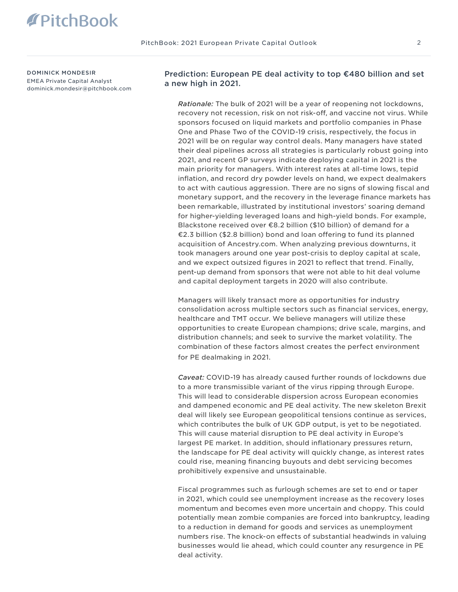DOMINICK MONDESIR EMEA Private Capital Analyst dominick.mondesir@pitchbook.com Prediction: European PE deal activity to top €480 billion and set a new high in 2021.

*Rationale:* The bulk of 2021 will be a year of reopening not lockdowns, recovery not recession, risk on not risk-off, and vaccine not virus. While sponsors focused on liquid markets and portfolio companies in Phase One and Phase Two of the COVID-19 crisis, respectively, the focus in 2021 will be on regular way control deals. Many managers have stated their deal pipelines across all strategies is particularly robust going into 2021, and recent GP surveys indicate deploying capital in 2021 is the main priority for managers. With interest rates at all-time lows, tepid inflation, and record dry powder levels on hand, we expect dealmakers to act with cautious aggression. There are no signs of slowing fiscal and monetary support, and the recovery in the leverage finance markets has been remarkable, illustrated by institutional investors' soaring demand for higher-yielding leveraged loans and high-yield bonds. For example, Blackstone received over €8.2 billion (\$10 billion) of demand for a €2.3 billion (\$2.8 billion) bond and loan offering to fund its planned acquisition of Ancestry.com. When analyzing previous downturns, it took managers around one year post-crisis to deploy capital at scale, and we expect outsized figures in 2021 to reflect that trend. Finally, pent-up demand from sponsors that were not able to hit deal volume and capital deployment targets in 2020 will also contribute.

Managers will likely transact more as opportunities for industry consolidation across multiple sectors such as financial services, energy, healthcare and TMT occur. We believe managers will utilize these opportunities to create European champions; drive scale, margins, and distribution channels; and seek to survive the market volatility. The combination of these factors almost creates the perfect environment for PE dealmaking in 2021.

*Caveat:* COVID-19 has already caused further rounds of lockdowns due to a more transmissible variant of the virus ripping through Europe. This will lead to considerable dispersion across European economies and dampened economic and PE deal activity. The new skeleton Brexit deal will likely see European geopolitical tensions continue as services, which contributes the bulk of UK GDP output, is yet to be negotiated. This will cause material disruption to PE deal activity in Europe's largest PE market. In addition, should inflationary pressures return, the landscape for PE deal activity will quickly change, as interest rates could rise, meaning financing buyouts and debt servicing becomes prohibitively expensive and unsustainable.

Fiscal programmes such as furlough schemes are set to end or taper in 2021, which could see unemployment increase as the recovery loses momentum and becomes even more uncertain and choppy. This could potentially mean zombie companies are forced into bankruptcy, leading to a reduction in demand for goods and services as unemployment numbers rise. The knock-on effects of substantial headwinds in valuing businesses would lie ahead, which could counter any resurgence in PE deal activity.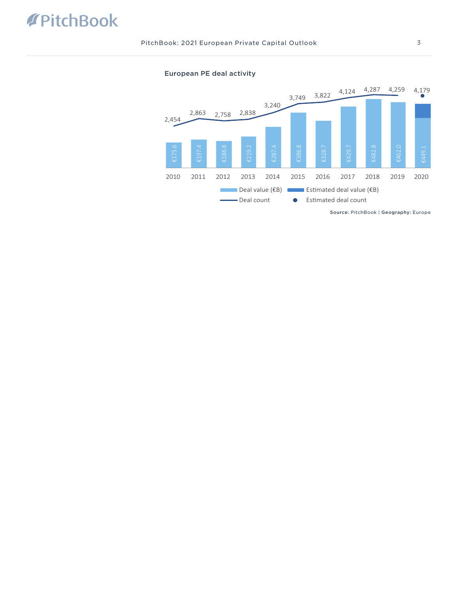



Source: PitchBook | Geography: Europe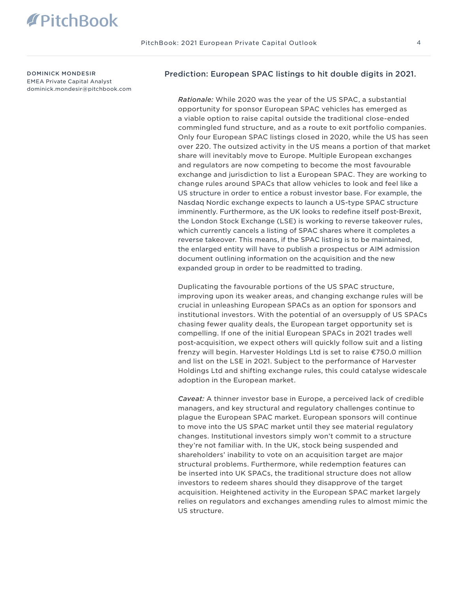DOMINICK MONDESIR EMEA Private Capital Analyst dominick.mondesir@pitchbook.com

#### Prediction: European SPAC listings to hit double digits in 2021.

*Rationale:* While 2020 was the year of the US SPAC, a substantial opportunity for sponsor European SPAC vehicles has emerged as a viable option to raise capital outside the traditional close-ended commingled fund structure, and as a route to exit portfolio companies. Only four European SPAC listings closed in 2020, while the US has seen over 220. The outsized activity in the US means a portion of that market share will inevitably move to Europe. Multiple European exchanges and regulators are now competing to become the most favourable exchange and jurisdiction to list a European SPAC. They are working to change rules around SPACs that allow vehicles to look and feel like a US structure in order to entice a robust investor base. For example, the Nasdaq Nordic exchange expects to launch a US-type SPAC structure imminently. Furthermore, as the UK looks to redefine itself post-Brexit, the London Stock Exchange (LSE) is working to reverse takeover rules, which currently cancels a listing of SPAC shares where it completes a reverse takeover. This means, if the SPAC listing is to be maintained, the enlarged entity will have to publish a prospectus or AIM admission document outlining information on the acquisition and the new expanded group in order to be readmitted to trading.

Duplicating the favourable portions of the US SPAC structure, improving upon its weaker areas, and changing exchange rules will be crucial in unleashing European SPACs as an option for sponsors and institutional investors. With the potential of an oversupply of US SPACs chasing fewer quality deals, the European target opportunity set is compelling. If one of the initial European SPACs in 2021 trades well post-acquisition, we expect others will quickly follow suit and a listing frenzy will begin. Harvester Holdings Ltd is set to raise €750.0 million and list on the LSE in 2021. Subject to the performance of Harvester Holdings Ltd and shifting exchange rules, this could catalyse widescale adoption in the European market.

*Caveat:* A thinner investor base in Europe, a perceived lack of credible managers, and key structural and regulatory challenges continue to plague the European SPAC market. European sponsors will continue to move into the US SPAC market until they see material regulatory changes. Institutional investors simply won't commit to a structure they're not familiar with. In the UK, stock being suspended and shareholders' inability to vote on an acquisition target are major structural problems. Furthermore, while redemption features can be inserted into UK SPACs, the traditional structure does not allow investors to redeem shares should they disapprove of the target acquisition. Heightened activity in the European SPAC market largely relies on regulators and exchanges amending rules to almost mimic the US structure.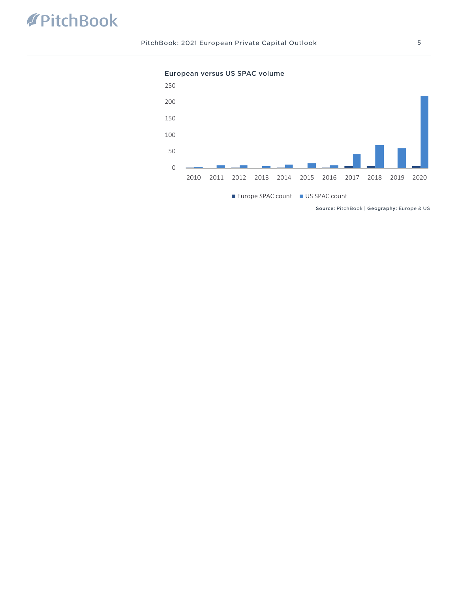## PitchBook

PitchBook: 2021 European Private Capital Outlook 5

European versus US SPAC volume

### 2011 2012 2013 2014 2015 2016 2017 2018 2019 2020 Europe SPAC count US SPAC count

Source: PitchBook | Geography: Europe & US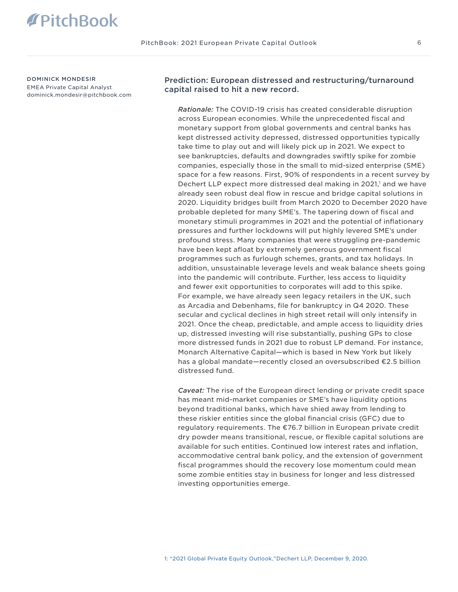DOMINICK MONDESIR EMEA Private Capital Analyst dominick.mondesir@pitchbook.com Prediction: European distressed and restructuring/turnaround capital raised to hit a new record.

*Rationale:* The COVID-19 crisis has created considerable disruption across European economies. While the unprecedented fiscal and monetary support from global governments and central banks has kept distressed activity depressed, distressed opportunities typically take time to play out and will likely pick up in 2021. We expect to see bankruptcies, defaults and downgrades swiftly spike for zombie companies, especially those in the small to mid-sized enterprise (SME) space for a few reasons. First, 90% of respondents in a recent survey by Dechert LLP expect more distressed deal making in 2021,<sup>1</sup> and we have already seen robust deal flow in rescue and bridge capital solutions in 2020. Liquidity bridges built from March 2020 to December 2020 have probable depleted for many SME's. The tapering down of fiscal and monetary stimuli programmes in 2021 and the potential of inflationary pressures and further lockdowns will put highly levered SME's under profound stress. Many companies that were struggling pre-pandemic have been kept afloat by extremely generous government fiscal programmes such as furlough schemes, grants, and tax holidays. In addition, unsustainable leverage levels and weak balance sheets going into the pandemic will contribute. Further, less access to liquidity and fewer exit opportunities to corporates will add to this spike. For example, we have already seen legacy retailers in the UK, such as Arcadia and Debenhams, file for bankruptcy in Q4 2020. These secular and cyclical declines in high street retail will only intensify in 2021. Once the cheap, predictable, and ample access to liquidity dries up, distressed investing will rise substantially, pushing GPs to close more distressed funds in 2021 due to robust LP demand. For instance, Monarch Alternative Capital—which is based in New York but likely has a global mandate—recently closed an oversubscribed €2.5 billion distressed fund.

*Caveat:* The rise of the European direct lending or private credit space has meant mid-market companies or SME's have liquidity options beyond traditional banks, which have shied away from lending to these riskier entities since the global financial crisis (GFC) due to regulatory requirements. The €76.7 billion in European private credit dry powder means transitional, rescue, or flexible capital solutions are available for such entities. Continued low interest rates and inflation, accommodative central bank policy, and the extension of government fiscal programmes should the recovery lose momentum could mean some zombie entities stay in business for longer and less distressed investing opportunities emerge.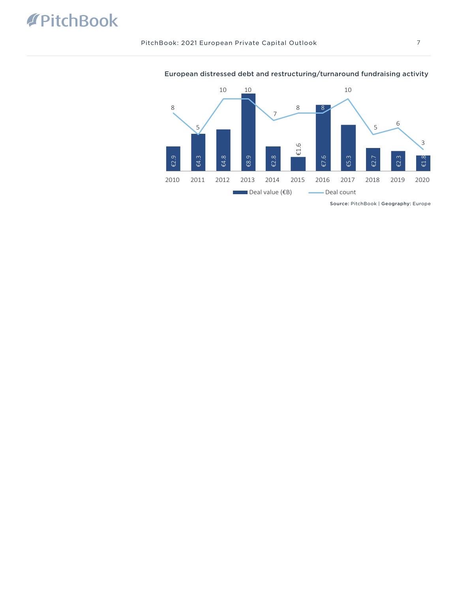# **APitchBook**

PitchBook: 2021 European Private Capital Outlook 7



### European distressed debt and restructuring/turnaround fundraising activity

Source: PitchBook | Geography: Europe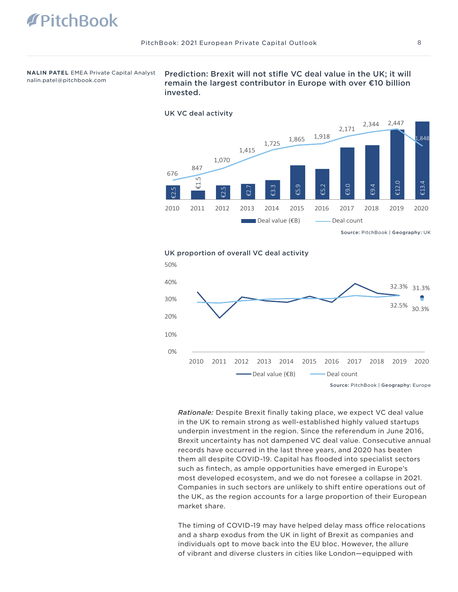**NALIN PATEL** EMEA Private Capital Analyst nalin.patel@pitchbook.com

Prediction: Brexit will not stifle VC deal value in the UK; it will remain the largest contributor in Europe with over €10 billion invested.



Source: PitchBook | Geography: UK

UK proportion of overall VC deal activity



*Rationale:* Despite Brexit finally taking place, we expect VC deal value in the UK to remain strong as well-established highly valued startups underpin investment in the region. Since the referendum in June 2016, Brexit uncertainty has not dampened VC deal value. Consecutive annual records have occurred in the last three years, and 2020 has beaten them all despite COVID-19. Capital has flooded into specialist sectors such as fintech, as ample opportunities have emerged in Europe's most developed ecosystem, and we do not foresee a collapse in 2021. Companies in such sectors are unlikely to shift entire operations out of the UK, as the region accounts for a large proportion of their European market share.

The timing of COVID-19 may have helped delay mass office relocations and a sharp exodus from the UK in light of Brexit as companies and individuals opt to move back into the EU bloc. However, the allure of vibrant and diverse clusters in cities like London—equipped with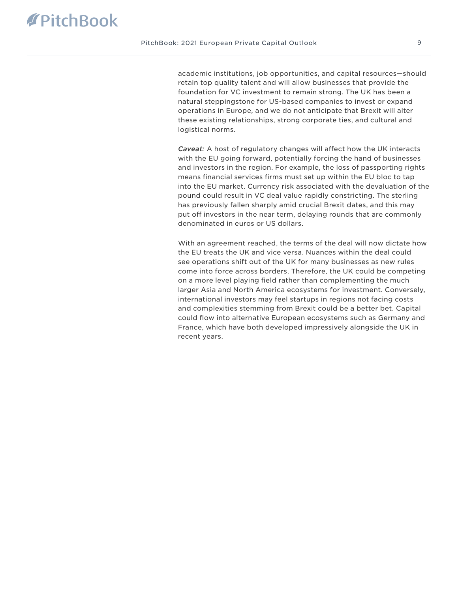academic institutions, job opportunities, and capital resources—should retain top quality talent and will allow businesses that provide the foundation for VC investment to remain strong. The UK has been a natural steppingstone for US-based companies to invest or expand operations in Europe, and we do not anticipate that Brexit will alter these existing relationships, strong corporate ties, and cultural and logistical norms.

*Caveat:* A host of regulatory changes will affect how the UK interacts with the EU going forward, potentially forcing the hand of businesses and investors in the region. For example, the loss of passporting rights means financial services firms must set up within the EU bloc to tap into the EU market. Currency risk associated with the devaluation of the pound could result in VC deal value rapidly constricting. The sterling has previously fallen sharply amid crucial Brexit dates, and this may put off investors in the near term, delaying rounds that are commonly denominated in euros or US dollars.

With an agreement reached, the terms of the deal will now dictate how the EU treats the UK and vice versa. Nuances within the deal could see operations shift out of the UK for many businesses as new rules come into force across borders. Therefore, the UK could be competing on a more level playing field rather than complementing the much larger Asia and North America ecosystems for investment. Conversely, international investors may feel startups in regions not facing costs and complexities stemming from Brexit could be a better bet. Capital could flow into alternative European ecosystems such as Germany and France, which have both developed impressively alongside the UK in recent years.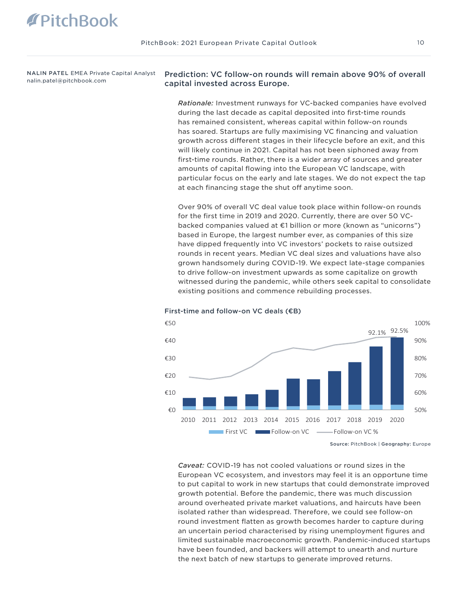NALIN PATEL EMEA Private Capital Analyst nalin.patel@pitchbook.com

### Prediction: VC follow-on rounds will remain above 90% of overall capital invested across Europe.

*Rationale:* Investment runways for VC-backed companies have evolved during the last decade as capital deposited into first-time rounds has remained consistent, whereas capital within follow-on rounds has soared. Startups are fully maximising VC financing and valuation growth across different stages in their lifecycle before an exit, and this will likely continue in 2021. Capital has not been siphoned away from first-time rounds. Rather, there is a wider array of sources and greater amounts of capital flowing into the European VC landscape, with particular focus on the early and late stages. We do not expect the tap at each financing stage the shut off anytime soon.

Over 90% of overall VC deal value took place within follow-on rounds for the first time in 2019 and 2020. Currently, there are over 50 VCbacked companies valued at €1 billion or more (known as "unicorns") based in Europe, the largest number ever, as companies of this size have dipped frequently into VC investors' pockets to raise outsized rounds in recent years. Median VC deal sizes and valuations have also grown handsomely during COVID-19. We expect late-stage companies to drive follow-on investment upwards as some capitalize on growth witnessed during the pandemic, while others seek capital to consolidate existing positions and commence rebuilding processes.



#### First-time and follow-on VC deals (€B)

Source: PitchBook | Geography: Europe

*Caveat:* COVID-19 has not cooled valuations or round sizes in the European VC ecosystem, and investors may feel it is an opportune time to put capital to work in new startups that could demonstrate improved growth potential. Before the pandemic, there was much discussion around overheated private market valuations, and haircuts have been isolated rather than widespread. Therefore, we could see follow-on round investment flatten as growth becomes harder to capture during an uncertain period characterised by rising unemployment figures and limited sustainable macroeconomic growth. Pandemic-induced startups have been founded, and backers will attempt to unearth and nurture the next batch of new startups to generate improved returns.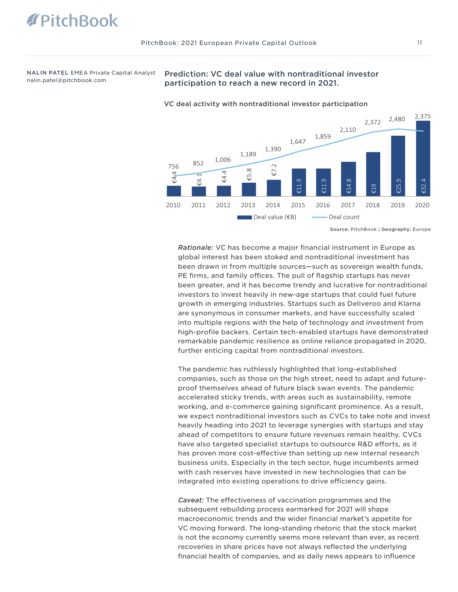NALIN PATEL EMEA Private Capital Analyst nalin.patel@pitchbook.com

### Prediction: VC deal value with nontraditional investor participation to reach a new record in 2021.



#### VC deal activity with nontraditional investor participation

*Rationale:* VC has become a major financial instrument in Europe as global interest has been stoked and nontraditional investment has been drawn in from multiple sources—such as sovereign wealth funds, PE firms, and family offices. The pull of flagship startups has never been greater, and it has become trendy and lucrative for nontraditional investors to invest heavily in new-age startups that could fuel future growth in emerging industries. Startups such as Deliveroo and Klarna are synonymous in consumer markets, and have successfully scaled into multiple regions with the help of technology and investment from high-profile backers. Certain tech-enabled startups have demonstrated remarkable pandemic resilience as online reliance propagated in 2020, further enticing capital from nontraditional investors.

The pandemic has ruthlessly highlighted that long-established companies, such as those on the high street, need to adapt and futureproof themselves ahead of future black swan events. The pandemic accelerated sticky trends, with areas such as sustainability, remote working, and e-commerce gaining significant prominence. As a result, we expect nontraditional investors such as CVCs to take note and invest heavily heading into 2021 to leverage synergies with startups and stay ahead of competitors to ensure future revenues remain healthy. CVCs have also targeted specialist startups to outsource R&D efforts, as it has proven more cost-effective than setting up new internal research business units. Especially in the tech sector, huge incumbents armed with cash reserves have invested in new technologies that can be integrated into existing operations to drive efficiency gains.

*Caveat:* The effectiveness of vaccination programmes and the subsequent rebuilding process earmarked for 2021 will shape macroeconomic trends and the wider financial market's appetite for VC moving forward. The long-standing rhetoric that the stock market is not the economy currently seems more relevant than ever, as recent recoveries in share prices have not always reflected the underlying financial health of companies, and as daily news appears to influence

Source: PitchBook | Geography: Europe